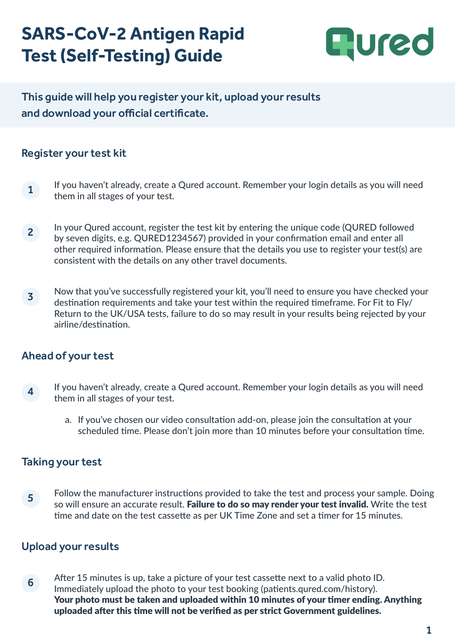# **SARS-CoV-2 Antigen Rapid Test (Self-Testing) Guide**



This guide will help you register your kit, upload your results and download your official certificate.

#### Register your test kit

- 1 If you haven't already, create a Qured account. Remember your login details as you will need them in all stages of your test.
- 2 In your Qured account, register the test kit by entering the unique code (QURED followed by seven digits, e.g. QURED1234567) provided in your confirmation email and enter all other required information. Please ensure that the details you use to register your test(s) are consistent with the details on any other travel documents.
- 3 Now that you've successfully registered your kit, you'll need to ensure you have checked your destination requirements and take your test within the required timeframe. For Fit to Fly/ Return to the UK/USA tests, failure to do so may result in your results being rejected by your airline/destination.

## Ahead of your test

- 4 If you haven't already, create a Qured account. Remember your login details as you will need them in all stages of your test.
	- a. If you've chosen our video consultation add-on, please join the consultation at your scheduled time. Please don't join more than 10 minutes before your consultation time.

#### Taking your test

<sup>5</sup> Follow the manufacturer instructions provided to take the test and process your sample. Doing so will ensure an accurate result. Failure to do so may render your test invalid. Write the test time and date on the test cassette as per UK Time Zone and set a timer for 15 minutes. 5

## Upload your results

<sup>6</sup> After 15 minutes is up, take a picture of your test cassette next to a valid photo ID. Immediately upload the photo to your test booking (patients.qured.com/history). Your photo must be taken and uploaded within 10 minutes of your timer ending. Anything uploaded after this time will not be verified as per strict Government guidelines.